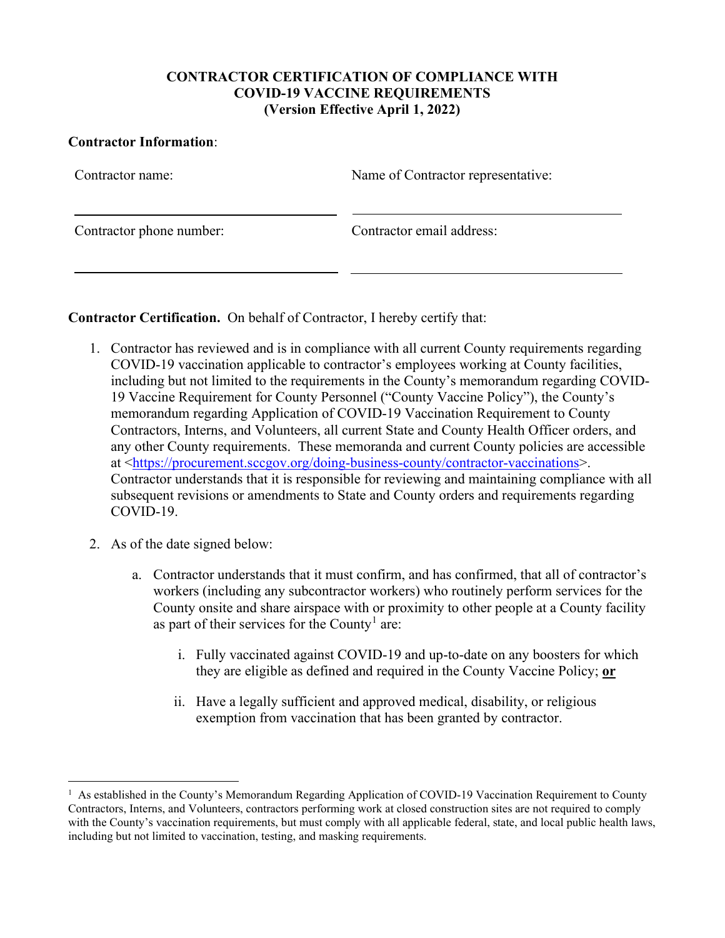## **CONTRACTOR CERTIFICATION OF COMPLIANCE WITH COVID-19 VACCINE REQUIREMENTS (Version Effective April 1, 2022)**

## **Contractor Information**:

| Contractor name:         | Name of Contractor representative: |
|--------------------------|------------------------------------|
| Contractor phone number: | Contractor email address:          |

**Contractor Certification.** On behalf of Contractor, I hereby certify that:

- 1. Contractor has reviewed and is in compliance with all current County requirements regarding COVID-19 vaccination applicable to contractor's employees working at County facilities, including but not limited to the requirements in the County's memorandum regarding COVID-19 Vaccine Requirement for County Personnel ("County Vaccine Policy"), the County's memorandum regarding Application of COVID-19 Vaccination Requirement to County Contractors, Interns, and Volunteers, all current State and County Health Officer orders, and any other County requirements. These memoranda and current County policies are accessible at [<https://procurement.sccgov.org/doing-business-county/contractor-vaccinations>](https://procurement.sccgov.org/doing-business-county/contractor-vaccinations). Contractor understands that it is responsible for reviewing and maintaining compliance with all subsequent revisions or amendments to State and County orders and requirements regarding COVID-19.
- 2. As of the date signed below:
	- a. Contractor understands that it must confirm, and has confirmed, that all of contractor's workers (including any subcontractor workers) who routinely perform services for the County onsite and share airspace with or proximity to other people at a County facility as part of their services for the County<sup>[1](#page-0-0)</sup> are:
		- i. Fully vaccinated against COVID-19 and up-to-date on any boosters for which they are eligible as defined and required in the County Vaccine Policy; **or**
		- ii. Have a legally sufficient and approved medical, disability, or religious exemption from vaccination that has been granted by contractor.

<span id="page-0-0"></span><sup>&</sup>lt;sup>1</sup> As established in the County's Memorandum Regarding Application of COVID-19 Vaccination Requirement to County Contractors, Interns, and Volunteers, contractors performing work at closed construction sites are not required to comply with the County's vaccination requirements, but must comply with all applicable federal, state, and local public health laws, including but not limited to vaccination, testing, and masking requirements.